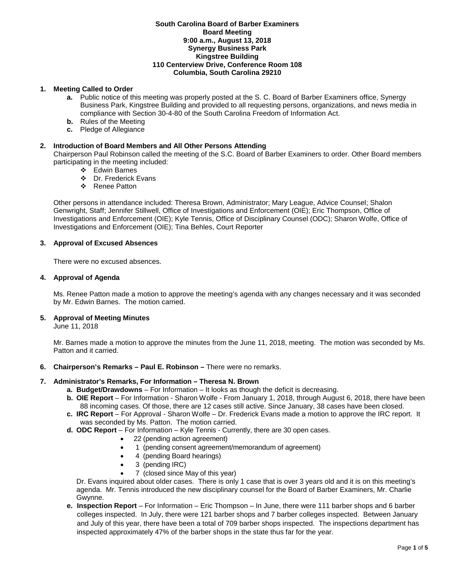# **South Carolina Board of Barber Examiners Board Meeting 9:00 a.m., August 13, 2018 Synergy Business Park Kingstree Building 110 Centerview Drive, Conference Room 108 Columbia, South Carolina 29210**

# **1. Meeting Called to Order**

- **a.** Public notice of this meeting was properly posted at the S. C. Board of Barber Examiners office, Synergy Business Park, Kingstree Building and provided to all requesting persons, organizations, and news media in compliance with Section 30-4-80 of the South Carolina Freedom of Information Act.
- **b.** Rules of the Meeting
- **c.** Pledge of Allegiance

# **2. Introduction of Board Members and All Other Persons Attending**

Chairperson Paul Robinson called the meeting of the S.C. Board of Barber Examiners to order. Other Board members participating in the meeting included:

- Edwin Barnes
- Dr. Frederick Evans
- ❖ Renee Patton

Other persons in attendance included: Theresa Brown, Administrator; Mary League, Advice Counsel; Shalon Genwright, Staff; Jennifer Stillwell, Office of Investigations and Enforcement (OIE); Eric Thompson, Office of Investigations and Enforcement (OIE); Kyle Tennis, Office of Disciplinary Counsel (ODC); Sharon Wolfe, Office of Investigations and Enforcement (OIE); Tina Behles, Court Reporter

# **3. Approval of Excused Absences**

There were no excused absences.

# **4. Approval of Agenda**

Ms. Renee Patton made a motion to approve the meeting's agenda with any changes necessary and it was seconded by Mr. Edwin Barnes. The motion carried.

# **5. Approval of Meeting Minutes**

June 11, 2018

Mr. Barnes made a motion to approve the minutes from the June 11, 2018, meeting. The motion was seconded by Ms. Patton and it carried.

**6. Chairperson's Remarks – Paul E. Robinson –** There were no remarks.

# **7. Administrator's Remarks, For Information – Theresa N. Brown**

- **a. Budget/Drawdowns** For Information It looks as though the deficit is decreasing.
- **b. OIE Report**  For Information Sharon Wolfe From January 1, 2018, through August 6, 2018, there have been 88 incoming cases. Of those, there are 12 cases still active. Since January, 38 cases have been closed.
- **c. IRC Report**  For Approval Sharon Wolfe Dr. Frederick Evans made a motion to approve the IRC report. It was seconded by Ms. Patton. The motion carried.
- **d. ODC Report**  For Information Kyle Tennis Currently, there are 30 open cases.
	- 22 (pending action agreement)
	- 1 (pending consent agreement/memorandum of agreement)
	- 4 (pending Board hearings)
	- 3 (pending IRC)
	- 7 (closed since May of this year)

Dr. Evans inquired about older cases. There is only 1 case that is over 3 years old and it is on this meeting's agenda. Mr. Tennis introduced the new disciplinary counsel for the Board of Barber Examiners, Mr. Charlie Gwynne.

**e. Inspection Report** – For Information – Eric Thompson – In June, there were 111 barber shops and 6 barber colleges inspected. In July, there were 121 barber shops and 7 barber colleges inspected. Between January and July of this year, there have been a total of 709 barber shops inspected. The inspections department has inspected approximately 47% of the barber shops in the state thus far for the year.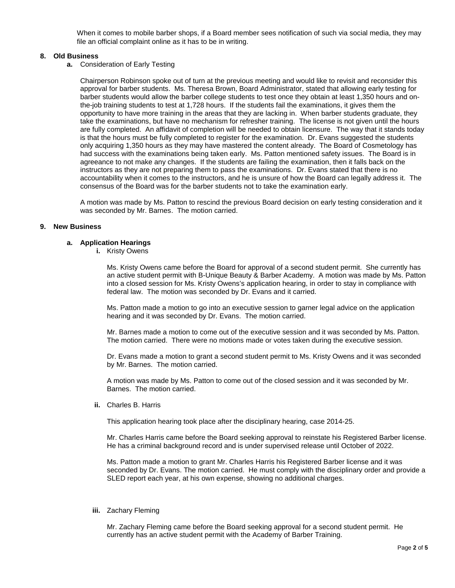When it comes to mobile barber shops, if a Board member sees notification of such via social media, they may file an official complaint online as it has to be in writing.

# **8. Old Business**

**a.** Consideration of Early Testing

Chairperson Robinson spoke out of turn at the previous meeting and would like to revisit and reconsider this approval for barber students. Ms. Theresa Brown, Board Administrator, stated that allowing early testing for barber students would allow the barber college students to test once they obtain at least 1,350 hours and onthe-job training students to test at 1,728 hours. If the students fail the examinations, it gives them the opportunity to have more training in the areas that they are lacking in. When barber students graduate, they take the examinations, but have no mechanism for refresher training. The license is not given until the hours are fully completed. An affidavit of completion will be needed to obtain licensure. The way that it stands today is that the hours must be fully completed to register for the examination. Dr. Evans suggested the students only acquiring 1,350 hours as they may have mastered the content already. The Board of Cosmetology has had success with the examinations being taken early. Ms. Patton mentioned safety issues. The Board is in agreeance to not make any changes. If the students are failing the examination, then it falls back on the instructors as they are not preparing them to pass the examinations. Dr. Evans stated that there is no accountability when it comes to the instructors, and he is unsure of how the Board can legally address it. The consensus of the Board was for the barber students not to take the examination early.

A motion was made by Ms. Patton to rescind the previous Board decision on early testing consideration and it was seconded by Mr. Barnes. The motion carried.

# **9. New Business**

### **a. Application Hearings**

**i.** Kristy Owens

Ms. Kristy Owens came before the Board for approval of a second student permit. She currently has an active student permit with B-Unique Beauty & Barber Academy. A motion was made by Ms. Patton into a closed session for Ms. Kristy Owens's application hearing, in order to stay in compliance with federal law. The motion was seconded by Dr. Evans and it carried.

Ms. Patton made a motion to go into an executive session to garner legal advice on the application hearing and it was seconded by Dr. Evans. The motion carried.

Mr. Barnes made a motion to come out of the executive session and it was seconded by Ms. Patton. The motion carried. There were no motions made or votes taken during the executive session.

Dr. Evans made a motion to grant a second student permit to Ms. Kristy Owens and it was seconded by Mr. Barnes. The motion carried.

A motion was made by Ms. Patton to come out of the closed session and it was seconded by Mr. Barnes. The motion carried.

**ii.** Charles B. Harris

This application hearing took place after the disciplinary hearing, case 2014-25.

Mr. Charles Harris came before the Board seeking approval to reinstate his Registered Barber license. He has a criminal background record and is under supervised release until October of 2022.

Ms. Patton made a motion to grant Mr. Charles Harris his Registered Barber license and it was seconded by Dr. Evans. The motion carried. He must comply with the disciplinary order and provide a SLED report each year, at his own expense, showing no additional charges.

#### **iii.** Zachary Fleming

Mr. Zachary Fleming came before the Board seeking approval for a second student permit. He currently has an active student permit with the Academy of Barber Training.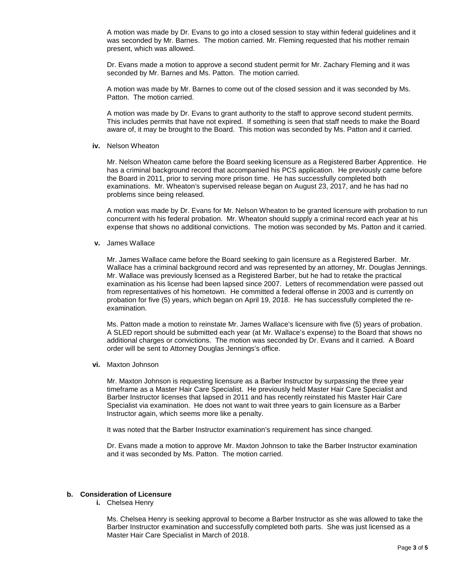A motion was made by Dr. Evans to go into a closed session to stay within federal guidelines and it was seconded by Mr. Barnes. The motion carried. Mr. Fleming requested that his mother remain present, which was allowed.

Dr. Evans made a motion to approve a second student permit for Mr. Zachary Fleming and it was seconded by Mr. Barnes and Ms. Patton. The motion carried.

A motion was made by Mr. Barnes to come out of the closed session and it was seconded by Ms. Patton. The motion carried.

A motion was made by Dr. Evans to grant authority to the staff to approve second student permits. This includes permits that have not expired. If something is seen that staff needs to make the Board aware of, it may be brought to the Board. This motion was seconded by Ms. Patton and it carried.

#### **iv.** Nelson Wheaton

Mr. Nelson Wheaton came before the Board seeking licensure as a Registered Barber Apprentice. He has a criminal background record that accompanied his PCS application. He previously came before the Board in 2011, prior to serving more prison time. He has successfully completed both examinations. Mr. Wheaton's supervised release began on August 23, 2017, and he has had no problems since being released.

A motion was made by Dr. Evans for Mr. Nelson Wheaton to be granted licensure with probation to run concurrent with his federal probation. Mr. Wheaton should supply a criminal record each year at his expense that shows no additional convictions. The motion was seconded by Ms. Patton and it carried.

**v.** James Wallace

Mr. James Wallace came before the Board seeking to gain licensure as a Registered Barber. Mr. Wallace has a criminal background record and was represented by an attorney, Mr. Douglas Jennings. Mr. Wallace was previously licensed as a Registered Barber, but he had to retake the practical examination as his license had been lapsed since 2007. Letters of recommendation were passed out from representatives of his hometown. He committed a federal offense in 2003 and is currently on probation for five (5) years, which began on April 19, 2018. He has successfully completed the reexamination.

Ms. Patton made a motion to reinstate Mr. James Wallace's licensure with five (5) years of probation. A SLED report should be submitted each year (at Mr. Wallace's expense) to the Board that shows no additional charges or convictions. The motion was seconded by Dr. Evans and it carried. A Board order will be sent to Attorney Douglas Jennings's office.

**vi.** Maxton Johnson

Mr. Maxton Johnson is requesting licensure as a Barber Instructor by surpassing the three year timeframe as a Master Hair Care Specialist. He previously held Master Hair Care Specialist and Barber Instructor licenses that lapsed in 2011 and has recently reinstated his Master Hair Care Specialist via examination. He does not want to wait three years to gain licensure as a Barber Instructor again, which seems more like a penalty.

It was noted that the Barber Instructor examination's requirement has since changed.

Dr. Evans made a motion to approve Mr. Maxton Johnson to take the Barber Instructor examination and it was seconded by Ms. Patton. The motion carried.

# **b. Consideration of Licensure**

**i.** Chelsea Henry

Ms. Chelsea Henry is seeking approval to become a Barber Instructor as she was allowed to take the Barber Instructor examination and successfully completed both parts. She was just licensed as a Master Hair Care Specialist in March of 2018.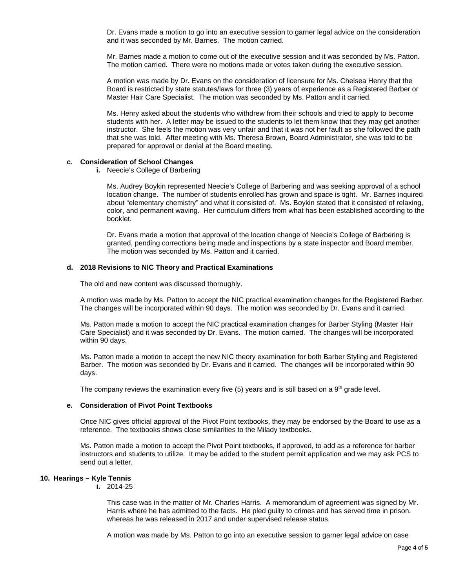Dr. Evans made a motion to go into an executive session to garner legal advice on the consideration and it was seconded by Mr. Barnes. The motion carried.

Mr. Barnes made a motion to come out of the executive session and it was seconded by Ms. Patton. The motion carried. There were no motions made or votes taken during the executive session.

A motion was made by Dr. Evans on the consideration of licensure for Ms. Chelsea Henry that the Board is restricted by state statutes/laws for three (3) years of experience as a Registered Barber or Master Hair Care Specialist. The motion was seconded by Ms. Patton and it carried.

Ms. Henry asked about the students who withdrew from their schools and tried to apply to become students with her. A letter may be issued to the students to let them know that they may get another instructor. She feels the motion was very unfair and that it was not her fault as she followed the path that she was told. After meeting with Ms. Theresa Brown, Board Administrator, she was told to be prepared for approval or denial at the Board meeting.

## **c. Consideration of School Changes**

**i.** Neecie's College of Barbering

Ms. Audrey Boykin represented Neecie's College of Barbering and was seeking approval of a school location change. The number of students enrolled has grown and space is tight. Mr. Barnes inquired about "elementary chemistry" and what it consisted of. Ms. Boykin stated that it consisted of relaxing, color, and permanent waving. Her curriculum differs from what has been established according to the booklet.

Dr. Evans made a motion that approval of the location change of Neecie's College of Barbering is granted, pending corrections being made and inspections by a state inspector and Board member. The motion was seconded by Ms. Patton and it carried.

### **d. 2018 Revisions to NIC Theory and Practical Examinations**

The old and new content was discussed thoroughly.

A motion was made by Ms. Patton to accept the NIC practical examination changes for the Registered Barber. The changes will be incorporated within 90 days. The motion was seconded by Dr. Evans and it carried.

Ms. Patton made a motion to accept the NIC practical examination changes for Barber Styling (Master Hair Care Specialist) and it was seconded by Dr. Evans. The motion carried. The changes will be incorporated within 90 days.

Ms. Patton made a motion to accept the new NIC theory examination for both Barber Styling and Registered Barber. The motion was seconded by Dr. Evans and it carried. The changes will be incorporated within 90 days.

The company reviews the examination every five  $(5)$  years and is still based on a  $9<sup>th</sup>$  grade level.

# **e. Consideration of Pivot Point Textbooks**

Once NIC gives official approval of the Pivot Point textbooks, they may be endorsed by the Board to use as a reference. The textbooks shows close similarities to the Milady textbooks.

Ms. Patton made a motion to accept the Pivot Point textbooks, if approved, to add as a reference for barber instructors and students to utilize. It may be added to the student permit application and we may ask PCS to send out a letter.

# **10. Hearings – Kyle Tennis**

**i.** 2014-25

This case was in the matter of Mr. Charles Harris. A memorandum of agreement was signed by Mr. Harris where he has admitted to the facts. He pled guilty to crimes and has served time in prison, whereas he was released in 2017 and under supervised release status.

A motion was made by Ms. Patton to go into an executive session to garner legal advice on case